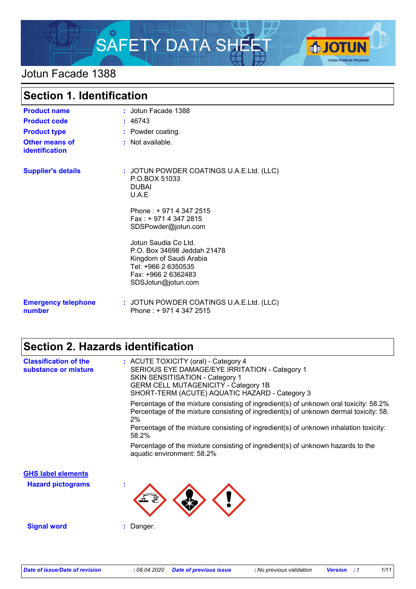

## Jotun Facade 1388

| <b>Section 1. Identification</b>               |                                                                                                                                                    |  |
|------------------------------------------------|----------------------------------------------------------------------------------------------------------------------------------------------------|--|
| <b>Product name</b>                            | : Jotun Facade 1388                                                                                                                                |  |
| <b>Product code</b>                            | : 46743                                                                                                                                            |  |
| <b>Product type</b>                            | : Powder coating.                                                                                                                                  |  |
| <b>Other means of</b><br><b>identification</b> | : Not available.                                                                                                                                   |  |
| <b>Supplier's details</b>                      | : JOTUN POWDER COATINGS U.A.E.Ltd. (LLC)<br>P.O.BOX 51033<br><b>DUBAL</b><br>U.A.E                                                                 |  |
|                                                | Phone: +971 4 347 2515<br>$Fax: +97143472815$<br>SDSPowder@jotun.com                                                                               |  |
|                                                | Jotun Saudia Co Ltd.<br>P.O. Box 34698 Jeddah 21478<br>Kingdom of Saudi Arabia<br>Tel: +966 2 6350535<br>Fax: +966 2 6362483<br>SDSJotun@jotun.com |  |
| <b>Emergency telephone</b><br>number           | : JOTUN POWDER COATINGS U.A.E.Ltd. (LLC)<br>Phone: +971 4 347 2515                                                                                 |  |

## **Section 2. Hazards identification**

| <b>Classification of the</b><br>substance or mixture | : ACUTE TOXICITY (oral) - Category 4<br>SERIOUS EYE DAMAGE/EYE IRRITATION - Category 1<br><b>SKIN SENSITISATION - Category 1</b><br><b>GERM CELL MUTAGENICITY - Category 1B</b><br>SHORT-TERM (ACUTE) AQUATIC HAZARD - Category 3 |
|------------------------------------------------------|-----------------------------------------------------------------------------------------------------------------------------------------------------------------------------------------------------------------------------------|
|                                                      | Percentage of the mixture consisting of ingredient(s) of unknown oral toxicity: 58.2%<br>Percentage of the mixture consisting of ingredient(s) of unknown dermal toxicity: 58.<br>2%                                              |
|                                                      | Percentage of the mixture consisting of ingredient(s) of unknown inhalation toxicity:<br>58.2%                                                                                                                                    |
|                                                      | Percentage of the mixture consisting of ingredient(s) of unknown hazards to the<br>aquatic environment: 58.2%                                                                                                                     |
| <b>GHS label elements</b>                            |                                                                                                                                                                                                                                   |
| <b>Hazard pictograms</b>                             | $\mathbf{r}$                                                                                                                                                                                                                      |
| <b>Signal word</b>                                   | : Danger.                                                                                                                                                                                                                         |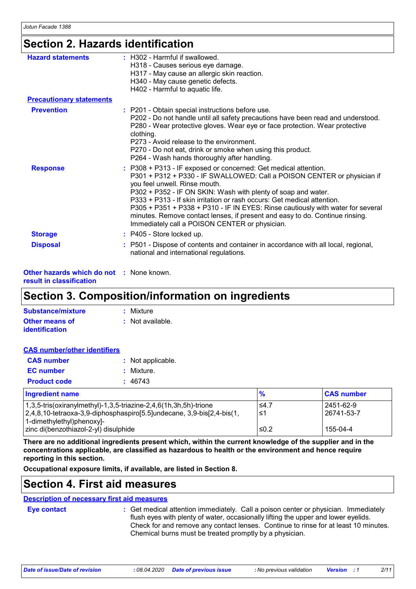## **Section 2. Hazards identification**

| <b>Hazard statements</b>        | : H302 - Harmful if swallowed.<br>H318 - Causes serious eye damage.<br>H317 - May cause an allergic skin reaction.<br>H340 - May cause genetic defects.                                                                                                                                                                                                                                                                                                                                                                                      |
|---------------------------------|----------------------------------------------------------------------------------------------------------------------------------------------------------------------------------------------------------------------------------------------------------------------------------------------------------------------------------------------------------------------------------------------------------------------------------------------------------------------------------------------------------------------------------------------|
|                                 | H402 - Harmful to aquatic life.                                                                                                                                                                                                                                                                                                                                                                                                                                                                                                              |
| <b>Precautionary statements</b> |                                                                                                                                                                                                                                                                                                                                                                                                                                                                                                                                              |
| <b>Prevention</b>               | : P201 - Obtain special instructions before use.<br>P202 - Do not handle until all safety precautions have been read and understood.<br>P280 - Wear protective gloves. Wear eye or face protection. Wear protective<br>clothing.<br>P273 - Avoid release to the environment.<br>P270 - Do not eat, drink or smoke when using this product.<br>P264 - Wash hands thoroughly after handling.                                                                                                                                                   |
| <b>Response</b>                 | : P308 + P313 - IF exposed or concerned: Get medical attention.<br>P301 + P312 + P330 - IF SWALLOWED: Call a POISON CENTER or physician if<br>you feel unwell. Rinse mouth.<br>P302 + P352 - IF ON SKIN: Wash with plenty of soap and water.<br>P333 + P313 - If skin irritation or rash occurs: Get medical attention.<br>P305 + P351 + P338 + P310 - IF IN EYES: Rinse cautiously with water for several<br>minutes. Remove contact lenses, if present and easy to do. Continue rinsing.<br>Immediately call a POISON CENTER or physician. |
| <b>Storage</b>                  | : P405 - Store locked up.                                                                                                                                                                                                                                                                                                                                                                                                                                                                                                                    |
| <b>Disposal</b>                 | : P501 - Dispose of contents and container in accordance with all local, regional,<br>national and international regulations.                                                                                                                                                                                                                                                                                                                                                                                                                |

**Other hazards which do not :** None known. **result in classification**

## **Section 3. Composition/information on ingredients**

| Substance/mixture     | : Mixture        |
|-----------------------|------------------|
| <b>Other means of</b> | : Not available. |
| identification        |                  |

| <b>CAS number/other identifiers</b> |                   |
|-------------------------------------|-------------------|
| <b>CAS number</b>                   | : Not applicable. |
| <b>EC</b> number                    | : Mixture.        |
| <b>Product code</b>                 | : 46743           |

| <b>Ingredient name</b>                                                | $\frac{9}{6}$ | <b>CAS number</b> |
|-----------------------------------------------------------------------|---------------|-------------------|
| $1,3,5$ -tris(oxiranylmethyl)-1,3,5-triazine-2,4,6(1h,3h,5h)-trione   | $\leq 4.7$    | 2451-62-9         |
| 2,4,8,10-tetraoxa-3,9-diphosphaspiro[5.5]undecane, 3,9-bis[2,4-bis(1, | 1≤ا           | 26741-53-7        |
| 1-dimethylethyl)phenoxyl-                                             |               |                   |
| zinc di(benzothiazol-2-yl) disulphide                                 | $\leq 0.2$    | 155-04-4          |

**There are no additional ingredients present which, within the current knowledge of the supplier and in the concentrations applicable, are classified as hazardous to health or the environment and hence require reporting in this section.**

**Occupational exposure limits, if available, are listed in Section 8.**

## **Section 4. First aid measures**

### **Description of necessary first aid measures**

**Eye contact :**

Get medical attention immediately. Call a poison center or physician. Immediately flush eyes with plenty of water, occasionally lifting the upper and lower eyelids. Check for and remove any contact lenses. Continue to rinse for at least 10 minutes. Chemical burns must be treated promptly by a physician.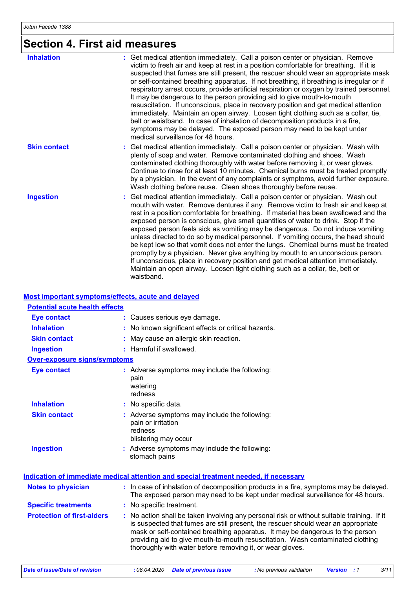# **Section 4. First aid measures**

| <b>Inhalation</b>   | Get medical attention immediately. Call a poison center or physician. Remove<br>victim to fresh air and keep at rest in a position comfortable for breathing. If it is<br>suspected that fumes are still present, the rescuer should wear an appropriate mask<br>or self-contained breathing apparatus. If not breathing, if breathing is irregular or if<br>respiratory arrest occurs, provide artificial respiration or oxygen by trained personnel.<br>It may be dangerous to the person providing aid to give mouth-to-mouth<br>resuscitation. If unconscious, place in recovery position and get medical attention<br>immediately. Maintain an open airway. Loosen tight clothing such as a collar, tie,<br>belt or waistband. In case of inhalation of decomposition products in a fire,<br>symptoms may be delayed. The exposed person may need to be kept under<br>medical surveillance for 48 hours. |
|---------------------|---------------------------------------------------------------------------------------------------------------------------------------------------------------------------------------------------------------------------------------------------------------------------------------------------------------------------------------------------------------------------------------------------------------------------------------------------------------------------------------------------------------------------------------------------------------------------------------------------------------------------------------------------------------------------------------------------------------------------------------------------------------------------------------------------------------------------------------------------------------------------------------------------------------|
| <b>Skin contact</b> | : Get medical attention immediately. Call a poison center or physician. Wash with<br>plenty of soap and water. Remove contaminated clothing and shoes. Wash<br>contaminated clothing thoroughly with water before removing it, or wear gloves.<br>Continue to rinse for at least 10 minutes. Chemical burns must be treated promptly<br>by a physician. In the event of any complaints or symptoms, avoid further exposure.<br>Wash clothing before reuse. Clean shoes thoroughly before reuse.                                                                                                                                                                                                                                                                                                                                                                                                               |
| <b>Ingestion</b>    | Get medical attention immediately. Call a poison center or physician. Wash out<br>÷.<br>mouth with water. Remove dentures if any. Remove victim to fresh air and keep at<br>rest in a position comfortable for breathing. If material has been swallowed and the<br>exposed person is conscious, give small quantities of water to drink. Stop if the<br>exposed person feels sick as vomiting may be dangerous. Do not induce vomiting<br>unless directed to do so by medical personnel. If vomiting occurs, the head should<br>be kept low so that vomit does not enter the lungs. Chemical burns must be treated<br>promptly by a physician. Never give anything by mouth to an unconscious person.<br>If unconscious, place in recovery position and get medical attention immediately.<br>Maintain an open airway. Loosen tight clothing such as a collar, tie, belt or<br>waistband.                    |

### **Most important symptoms/effects, acute and delayed**

| <b>Potential acute health effects</b> |                                                                                                                                                                                                                                                                                                                                                                                                               |
|---------------------------------------|---------------------------------------------------------------------------------------------------------------------------------------------------------------------------------------------------------------------------------------------------------------------------------------------------------------------------------------------------------------------------------------------------------------|
| <b>Eye contact</b>                    | : Causes serious eye damage.                                                                                                                                                                                                                                                                                                                                                                                  |
| <b>Inhalation</b>                     | : No known significant effects or critical hazards.                                                                                                                                                                                                                                                                                                                                                           |
| <b>Skin contact</b>                   | May cause an allergic skin reaction.                                                                                                                                                                                                                                                                                                                                                                          |
| <b>Ingestion</b>                      | : Harmful if swallowed.                                                                                                                                                                                                                                                                                                                                                                                       |
| <b>Over-exposure signs/symptoms</b>   |                                                                                                                                                                                                                                                                                                                                                                                                               |
| <b>Eye contact</b>                    | : Adverse symptoms may include the following:<br>pain<br>watering<br>redness                                                                                                                                                                                                                                                                                                                                  |
| <b>Inhalation</b>                     | : No specific data.                                                                                                                                                                                                                                                                                                                                                                                           |
| <b>Skin contact</b>                   | : Adverse symptoms may include the following:<br>pain or irritation<br>redness<br>blistering may occur                                                                                                                                                                                                                                                                                                        |
| <b>Ingestion</b>                      | : Adverse symptoms may include the following:<br>stomach pains                                                                                                                                                                                                                                                                                                                                                |
|                                       | Indication of immediate medical attention and special treatment needed, if necessary                                                                                                                                                                                                                                                                                                                          |
| <b>Notes to physician</b>             | : In case of inhalation of decomposition products in a fire, symptoms may be delayed.<br>The exposed person may need to be kept under medical surveillance for 48 hours.                                                                                                                                                                                                                                      |
| <b>Specific treatments</b>            | : No specific treatment.                                                                                                                                                                                                                                                                                                                                                                                      |
| <b>Protection of first-aiders</b>     | No action shall be taken involving any personal risk or without suitable training. If it<br>is suspected that fumes are still present, the rescuer should wear an appropriate<br>mask or self-contained breathing apparatus. It may be dangerous to the person<br>providing aid to give mouth-to-mouth resuscitation. Wash contaminated clothing<br>thoroughly with water before removing it, or wear gloves. |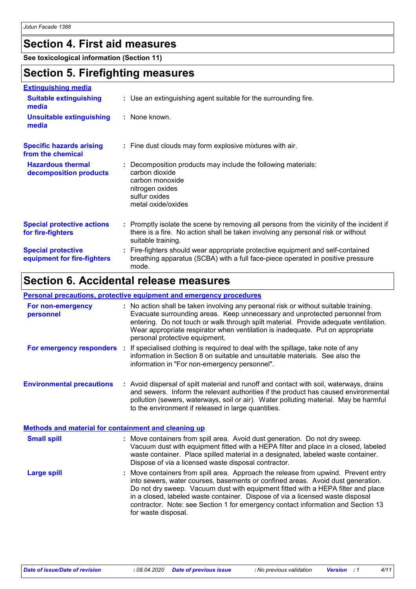## **Section 4. First aid measures**

**See toxicological information (Section 11)**

## **Section 5. Firefighting measures**

| <b>Extinguishing media</b>                               |                                                                                                                                                                                                     |
|----------------------------------------------------------|-----------------------------------------------------------------------------------------------------------------------------------------------------------------------------------------------------|
| <b>Suitable extinguishing</b><br>media                   | : Use an extinguishing agent suitable for the surrounding fire.                                                                                                                                     |
| <b>Unsuitable extinguishing</b><br>media                 | : None known.                                                                                                                                                                                       |
| <b>Specific hazards arising</b><br>from the chemical     | : Fine dust clouds may form explosive mixtures with air.                                                                                                                                            |
| <b>Hazardous thermal</b><br>decomposition products       | : Decomposition products may include the following materials:<br>carbon dioxide<br>carbon monoxide<br>nitrogen oxides<br>sulfur oxides<br>metal oxide/oxides                                        |
| <b>Special protective actions</b><br>for fire-fighters   | : Promptly isolate the scene by removing all persons from the vicinity of the incident if<br>there is a fire. No action shall be taken involving any personal risk or without<br>suitable training. |
| <b>Special protective</b><br>equipment for fire-fighters | : Fire-fighters should wear appropriate protective equipment and self-contained<br>breathing apparatus (SCBA) with a full face-piece operated in positive pressure<br>mode.                         |

## **Section 6. Accidental release measures**

### **Personal precautions, protective equipment and emergency procedures**

| For non-emergency<br>personnel                              | : No action shall be taken involving any personal risk or without suitable training.<br>Evacuate surrounding areas. Keep unnecessary and unprotected personnel from<br>entering. Do not touch or walk through spilt material. Provide adequate ventilation.<br>Wear appropriate respirator when ventilation is inadequate. Put on appropriate<br>personal protective equipment.                                                                        |  |
|-------------------------------------------------------------|--------------------------------------------------------------------------------------------------------------------------------------------------------------------------------------------------------------------------------------------------------------------------------------------------------------------------------------------------------------------------------------------------------------------------------------------------------|--|
|                                                             | <b>For emergency responders</b> : If specialised clothing is required to deal with the spillage, take note of any<br>information in Section 8 on suitable and unsuitable materials. See also the<br>information in "For non-emergency personnel".                                                                                                                                                                                                      |  |
| <b>Environmental precautions</b>                            | : Avoid dispersal of spilt material and runoff and contact with soil, waterways, drains<br>and sewers. Inform the relevant authorities if the product has caused environmental<br>pollution (sewers, waterways, soil or air). Water polluting material. May be harmful<br>to the environment if released in large quantities.                                                                                                                          |  |
| <b>Methods and material for containment and cleaning up</b> |                                                                                                                                                                                                                                                                                                                                                                                                                                                        |  |
| <b>Small spill</b>                                          | : Move containers from spill area. Avoid dust generation. Do not dry sweep.<br>Vacuum dust with equipment fitted with a HEPA filter and place in a closed, labeled<br>waste container. Place spilled material in a designated, labeled waste container.<br>Dispose of via a licensed waste disposal contractor.                                                                                                                                        |  |
| <b>Large spill</b>                                          | : Move containers from spill area. Approach the release from upwind. Prevent entry<br>into sewers, water courses, basements or confined areas. Avoid dust generation.<br>Do not dry sweep. Vacuum dust with equipment fitted with a HEPA filter and place<br>in a closed, labeled waste container. Dispose of via a licensed waste disposal<br>contractor. Note: see Section 1 for emergency contact information and Section 13<br>for waste disposal. |  |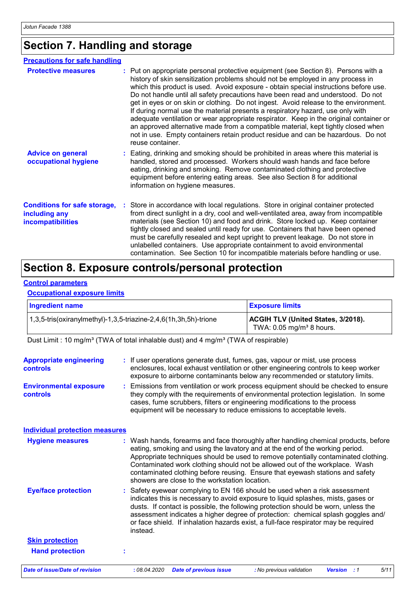## **Section 7. Handling and storage**

| <b>Precautions for safe handling</b>                                      |                                                                                                                                                                                                                                                                                                                                                                                                                                                                                                                                                                                                                                                                                                                                                                                                                    |
|---------------------------------------------------------------------------|--------------------------------------------------------------------------------------------------------------------------------------------------------------------------------------------------------------------------------------------------------------------------------------------------------------------------------------------------------------------------------------------------------------------------------------------------------------------------------------------------------------------------------------------------------------------------------------------------------------------------------------------------------------------------------------------------------------------------------------------------------------------------------------------------------------------|
| <b>Protective measures</b>                                                | : Put on appropriate personal protective equipment (see Section 8). Persons with a<br>history of skin sensitization problems should not be employed in any process in<br>which this product is used. Avoid exposure - obtain special instructions before use.<br>Do not handle until all safety precautions have been read and understood. Do not<br>get in eyes or on skin or clothing. Do not ingest. Avoid release to the environment.<br>If during normal use the material presents a respiratory hazard, use only with<br>adequate ventilation or wear appropriate respirator. Keep in the original container or<br>an approved alternative made from a compatible material, kept tightly closed when<br>not in use. Empty containers retain product residue and can be hazardous. Do not<br>reuse container. |
| <b>Advice on general</b><br>occupational hygiene                          | : Eating, drinking and smoking should be prohibited in areas where this material is<br>handled, stored and processed. Workers should wash hands and face before<br>eating, drinking and smoking. Remove contaminated clothing and protective<br>equipment before entering eating areas. See also Section 8 for additional<br>information on hygiene measures.                                                                                                                                                                                                                                                                                                                                                                                                                                                      |
| <b>Conditions for safe storage,</b><br>including any<br>incompatibilities | : Store in accordance with local regulations. Store in original container protected<br>from direct sunlight in a dry, cool and well-ventilated area, away from incompatible<br>materials (see Section 10) and food and drink. Store locked up. Keep container<br>tightly closed and sealed until ready for use. Containers that have been opened<br>must be carefully resealed and kept upright to prevent leakage. Do not store in<br>unlabelled containers. Use appropriate containment to avoid environmental<br>contamination. See Section 10 for incompatible materials before handling or use.                                                                                                                                                                                                               |

## **Section 8. Exposure controls/personal protection**

### **Control parameters**

### **Occupational exposure limits**

| <b>Ingredient name</b>                                           | <b>Exposure limits</b>                                                              |
|------------------------------------------------------------------|-------------------------------------------------------------------------------------|
| 1,3,5-tris(oxiranylmethyl)-1,3,5-triazine-2,4,6(1h,3h,5h)-trione | <b>ACGIH TLV (United States, 3/2018).</b><br>TWA: $0.05$ mg/m <sup>3</sup> 8 hours. |

Dust Limit : 10 mg/m<sup>3</sup> (TWA of total inhalable dust) and 4 mg/m<sup>3</sup> (TWA of respirable)

| <b>Appropriate engineering</b><br><b>controls</b><br><b>Environmental exposure</b><br>controls | : If user operations generate dust, fumes, gas, vapour or mist, use process<br>enclosures, local exhaust ventilation or other engineering controls to keep worker<br>exposure to airborne contaminants below any recommended or statutory limits.<br>: Emissions from ventilation or work process equipment should be checked to ensure<br>they comply with the requirements of environmental protection legislation. In some<br>cases, fume scrubbers, filters or engineering modifications to the process<br>equipment will be necessary to reduce emissions to acceptable levels. |
|------------------------------------------------------------------------------------------------|--------------------------------------------------------------------------------------------------------------------------------------------------------------------------------------------------------------------------------------------------------------------------------------------------------------------------------------------------------------------------------------------------------------------------------------------------------------------------------------------------------------------------------------------------------------------------------------|
| <b>Individual protection measures</b>                                                          |                                                                                                                                                                                                                                                                                                                                                                                                                                                                                                                                                                                      |
| <b>Hygiene measures</b>                                                                        | : Wash hands, forearms and face thoroughly after handling chemical products, before<br>eating, smoking and using the lavatory and at the end of the working period.<br>Appropriate techniques should be used to remove potentially contaminated clothing.<br>Contaminated work clothing should not be allowed out of the workplace. Wash<br>contaminated clothing before reusing. Ensure that eyewash stations and safety<br>showers are close to the workstation location.                                                                                                          |
| <b>Eye/face protection</b>                                                                     | : Safety eyewear complying to EN 166 should be used when a risk assessment<br>indicates this is necessary to avoid exposure to liquid splashes, mists, gases or<br>dusts. If contact is possible, the following protection should be worn, unless the<br>assessment indicates a higher degree of protection: chemical splash goggles and/<br>or face shield. If inhalation hazards exist, a full-face respirator may be required<br>instead.                                                                                                                                         |
| <b>Skin protection</b>                                                                         |                                                                                                                                                                                                                                                                                                                                                                                                                                                                                                                                                                                      |
| <b>Hand protection</b>                                                                         | t                                                                                                                                                                                                                                                                                                                                                                                                                                                                                                                                                                                    |
| <b>Date of issue/Date of revision</b>                                                          | : 08.04.2020<br>5/11<br><b>Date of previous issue</b><br>: No previous validation<br><b>Version</b> : 1                                                                                                                                                                                                                                                                                                                                                                                                                                                                              |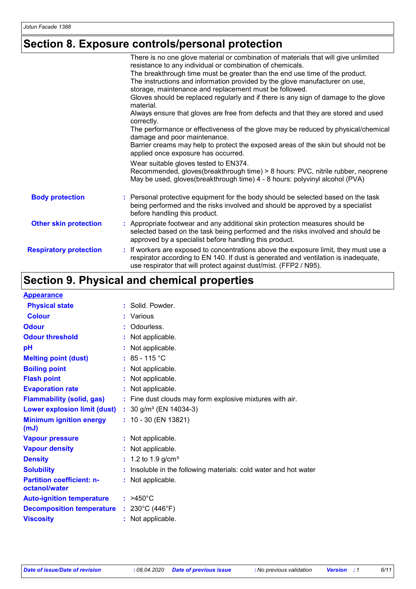## **Section 8. Exposure controls/personal protection**

|                               | There is no one glove material or combination of materials that will give unlimited                                                                                                                                                              |
|-------------------------------|--------------------------------------------------------------------------------------------------------------------------------------------------------------------------------------------------------------------------------------------------|
|                               | resistance to any individual or combination of chemicals.                                                                                                                                                                                        |
|                               | The breakthrough time must be greater than the end use time of the product.                                                                                                                                                                      |
|                               | The instructions and information provided by the glove manufacturer on use,                                                                                                                                                                      |
|                               | storage, maintenance and replacement must be followed.                                                                                                                                                                                           |
|                               | Gloves should be replaced regularly and if there is any sign of damage to the glove<br>material.                                                                                                                                                 |
|                               | Always ensure that gloves are free from defects and that they are stored and used<br>correctly.                                                                                                                                                  |
|                               | The performance or effectiveness of the glove may be reduced by physical/chemical<br>damage and poor maintenance.                                                                                                                                |
|                               | Barrier creams may help to protect the exposed areas of the skin but should not be<br>applied once exposure has occurred.                                                                                                                        |
|                               | Wear suitable gloves tested to EN374.                                                                                                                                                                                                            |
|                               | Recommended, gloves(breakthrough time) > 8 hours: PVC, nitrile rubber, neoprene<br>May be used, gloves(breakthrough time) 4 - 8 hours: polyvinyl alcohol (PVA)                                                                                   |
| <b>Body protection</b>        | : Personal protective equipment for the body should be selected based on the task<br>being performed and the risks involved and should be approved by a specialist<br>before handling this product.                                              |
| <b>Other skin protection</b>  | : Appropriate footwear and any additional skin protection measures should be<br>selected based on the task being performed and the risks involved and should be<br>approved by a specialist before handling this product.                        |
| <b>Respiratory protection</b> | : If workers are exposed to concentrations above the exposure limit, they must use a<br>respirator according to EN 140. If dust is generated and ventilation is inadequate,<br>use respirator that will protect against dust/mist. (FFP2 / N95). |

## **Section 9. Physical and chemical properties**

| <b>Appearance</b>                                 |                                                                |
|---------------------------------------------------|----------------------------------------------------------------|
| <b>Physical state</b>                             | : Solid. Powder.                                               |
| <b>Colour</b>                                     | : Various                                                      |
| <b>Odour</b>                                      | : Odourless.                                                   |
| <b>Odour threshold</b>                            | Not applicable.                                                |
| рH                                                | : Not applicable.                                              |
| <b>Melting point (dust)</b>                       | $: 85 - 115 °C$                                                |
| <b>Boiling point</b>                              | : Not applicable.                                              |
| <b>Flash point</b>                                | Not applicable.                                                |
| <b>Evaporation rate</b>                           | : Not applicable.                                              |
| <b>Flammability (solid, gas)</b>                  | : Fine dust clouds may form explosive mixtures with air.       |
| <b>Lower explosion limit (dust)</b>               | : $30$ g/m <sup>3</sup> (EN 14034-3)                           |
| <b>Minimum ignition energy</b><br>(mJ)            | $: 10 - 30$ (EN 13821)                                         |
| <b>Vapour pressure</b>                            | : Not applicable.                                              |
| <b>Vapour density</b>                             | : Not applicable.                                              |
| <b>Density</b>                                    | : $1.2$ to $1.9$ g/cm <sup>3</sup>                             |
| <b>Solubility</b>                                 | Insoluble in the following materials: cold water and hot water |
| <b>Partition coefficient: n-</b><br>octanol/water | : Not applicable.                                              |
| <b>Auto-ignition temperature</b>                  | $: >450^{\circ}$ C                                             |
| <b>Decomposition temperature</b>                  | : $230^{\circ}$ C (446 $^{\circ}$ F)                           |
| <b>Viscosity</b>                                  | : Not applicable.                                              |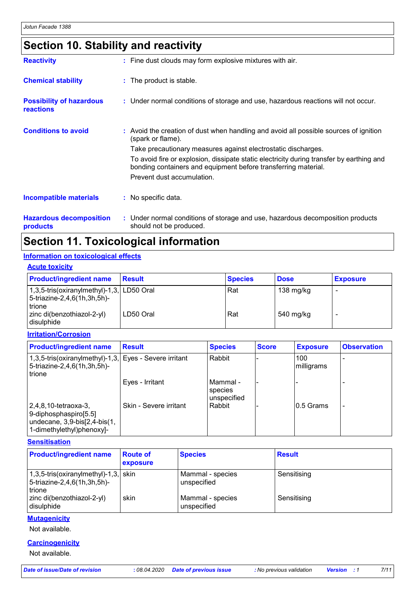## **Section 10. Stability and reactivity**

| <b>Reactivity</b>                            | : Fine dust clouds may form explosive mixtures with air.                                                                                                   |
|----------------------------------------------|------------------------------------------------------------------------------------------------------------------------------------------------------------|
| <b>Chemical stability</b>                    | : The product is stable.                                                                                                                                   |
| <b>Possibility of hazardous</b><br>reactions | : Under normal conditions of storage and use, hazardous reactions will not occur.                                                                          |
| <b>Conditions to avoid</b>                   | : Avoid the creation of dust when handling and avoid all possible sources of ignition<br>(spark or flame).                                                 |
|                                              | Take precautionary measures against electrostatic discharges.                                                                                              |
|                                              | To avoid fire or explosion, dissipate static electricity during transfer by earthing and<br>bonding containers and equipment before transferring material. |
|                                              | Prevent dust accumulation.                                                                                                                                 |
| <b>Incompatible materials</b>                | $\therefore$ No specific data.                                                                                                                             |
| <b>Hazardous decomposition</b>               | : Under normal conditions of storage and use, hazardous decomposition products                                                                             |

**products**

should not be produced.

## **Section 11. Toxicological information**

### **Information on toxicological effects**

| <b>Acute toxicity</b>                                                                  |               |                |             |                 |
|----------------------------------------------------------------------------------------|---------------|----------------|-------------|-----------------|
| <b>Product/ingredient name</b>                                                         | <b>Result</b> | <b>Species</b> | <b>Dose</b> | <b>Exposure</b> |
| 1,3,5-tris(oxiranylmethyl)-1,3, LD50 Oral<br>$ 5-$ triazine-2,4,6(1h,3h,5h)-<br>trione |               | Rat            | 138 mg/kg   |                 |
| zinc di(benzothiazol-2-yl)<br>I disulphide                                             | LD50 Oral     | Rat            | 540 mg/kg   |                 |

### **Irritation/Corrosion**

| <b>Product/ingredient name</b>                                                                                 | <b>Result</b>          | <b>Species</b>                     | <b>Score</b> | <b>Exposure</b>    | <b>Observation</b> |
|----------------------------------------------------------------------------------------------------------------|------------------------|------------------------------------|--------------|--------------------|--------------------|
| 1,3,5-tris(oxiranylmethyl)-1,3, Eyes - Severe irritant<br>5-triazine-2,4,6(1h,3h,5h)-<br>trione                |                        | Rabbit                             |              | 100<br> milligrams |                    |
|                                                                                                                | Eyes - Irritant        | Mammal -<br>species<br>unspecified |              |                    |                    |
| $ 2,4,8,10$ -tetraoxa-3,<br>9-diphosphaspiro[5.5]<br>undecane, 3,9-bis[2,4-bis(1,<br>1-dimethylethyl)phenoxyl- | Skin - Severe irritant | Rabbit                             |              | 10.5 Grams         |                    |

**Sensitisation**

| <b>Product/ingredient name</b>                                                                             | <b>Route of</b><br>exposure | <b>Species</b>                  | <b>Result</b> |
|------------------------------------------------------------------------------------------------------------|-----------------------------|---------------------------------|---------------|
| $(1,3,5\text{-tris}(oxiranylmethyl)-1,3,  \text{skin} )$<br>5-triazine-2,4,6(1h,3h,5h)-<br><b>I</b> trione |                             | Mammal - species<br>unspecified | Sensitising   |
| zinc di(benzothiazol-2-yl)<br>disulphide                                                                   | skin                        | Mammal - species<br>unspecified | Sensitising   |

### **Mutagenicity**

Not available.

### **Carcinogenicity**

Not available.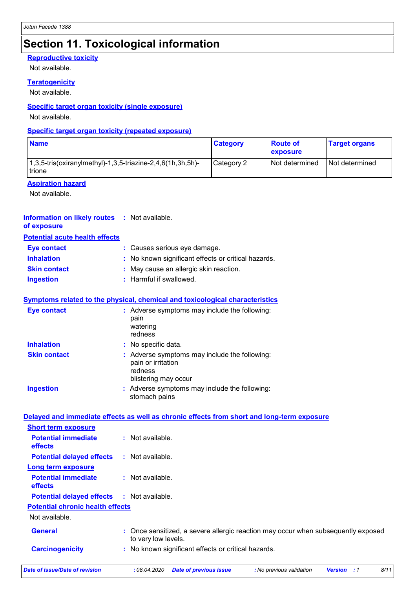## **Section 11. Toxicological information**

### **Reproductive toxicity**

Not available.

### **Teratogenicity**

Not available.

### **Specific target organ toxicity (single exposure)**

Not available.

### **Specific target organ toxicity (repeated exposure)**

| <b>Name</b>                                                             | <b>Category</b> | <b>Route of</b><br><b>exposure</b> | <b>Target organs</b> |
|-------------------------------------------------------------------------|-----------------|------------------------------------|----------------------|
| $1,3,5$ -tris(oxiranylmethyl)-1,3,5-triazine-2,4,6(1h,3h,5h)-<br>trione | Category 2      | Not determined                     | l Not determined     |

### **Aspiration hazard**

Not available.

#### **Information on likely routes :** Not available. **of exposure**

### **Potential acute health effects**

| <b>Eye contact</b>  | : Causes serious eye damage.                        |
|---------------------|-----------------------------------------------------|
| <b>Inhalation</b>   | : No known significant effects or critical hazards. |
| <b>Skin contact</b> | : May cause an allergic skin reaction.              |
| <b>Ingestion</b>    | : Harmful if swallowed.                             |

### **Symptoms related to the physical, chemical and toxicological characteristics**

| <b>Eye contact</b>  | : Adverse symptoms may include the following:<br>pain<br>watering<br>redness                           |
|---------------------|--------------------------------------------------------------------------------------------------------|
| <b>Inhalation</b>   | : No specific data.                                                                                    |
| <b>Skin contact</b> | : Adverse symptoms may include the following:<br>pain or irritation<br>redness<br>blistering may occur |
| <b>Ingestion</b>    | : Adverse symptoms may include the following:<br>stomach pains                                         |

| Date of issue/Date of revision               | 8/11<br>: 08.04.2020<br><b>Date of previous issue</b><br>: No previous validation<br><b>Version : 1</b>  |
|----------------------------------------------|----------------------------------------------------------------------------------------------------------|
| <b>Carcinogenicity</b>                       | : No known significant effects or critical hazards.                                                      |
| <b>General</b>                               | : Once sensitized, a severe allergic reaction may occur when subsequently exposed<br>to very low levels. |
| Not available.                               |                                                                                                          |
| <b>Potential chronic health effects</b>      |                                                                                                          |
| <b>Potential delayed effects</b>             | : Not available.                                                                                         |
| <b>Potential immediate</b><br>effects        | $\therefore$ Not available.                                                                              |
| <b>Long term exposure</b>                    |                                                                                                          |
| <b>Potential delayed effects</b>             | : Not available.                                                                                         |
| <b>Potential immediate</b><br><b>effects</b> | $:$ Not available.                                                                                       |
| <b>Short term exposure</b>                   |                                                                                                          |
|                                              | Delayed and immediate effects as well as chronic effects from short and long-term exposure               |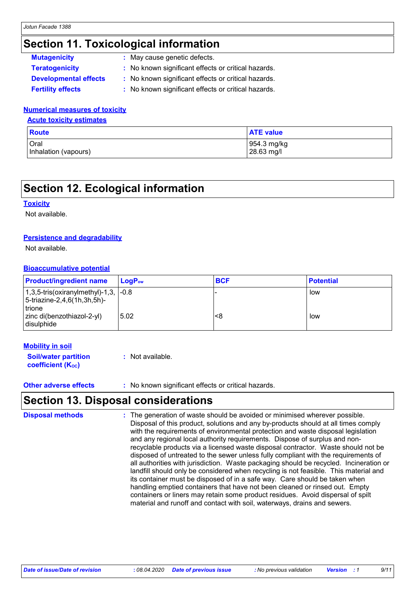## **Section 11. Toxicological information**

| <b>Mutagenicity</b>          | : May cause genetic defects.                        |
|------------------------------|-----------------------------------------------------|
| <b>Teratogenicity</b>        | : No known significant effects or critical hazards. |
| <b>Developmental effects</b> | : No known significant effects or critical hazards. |
| <b>Fertility effects</b>     | : No known significant effects or critical hazards. |

### **Numerical measures of toxicity**

**Acute toxicity estimates**

| Route                | <b>ATE value</b> |
|----------------------|------------------|
| Oral                 | 954.3 mg/kg      |
| Inhalation (vapours) | 28.63 mg/l       |

## **Section 12. Ecological information**

### **Toxicity**

Not available.

### **Persistence and degradability**

Not available.

### **Bioaccumulative potential**

| <b>Product/ingredient name</b>                                                                  | LogP <sub>ow</sub> | <b>BCF</b> | <b>Potential</b> |
|-------------------------------------------------------------------------------------------------|--------------------|------------|------------------|
| $1,3,5$ -tris(oxiranylmethyl)-1,3, $\sim$ 1.8<br>5-triazine-2,4,6(1h,3h,5h)-<br><b>I</b> trione |                    |            | low              |
| zinc di(benzothiazol-2-yl)<br>disulphide                                                        | 5.02               | <8         | low              |

### **Mobility in soil**

**Soil/water partition coefficient (Koc) :** Not available.

**Other adverse effects** : No known significant effects or critical hazards.

### **Section 13. Disposal considerations**

The generation of waste should be avoided or minimised wherever possible. Disposal of this product, solutions and any by-products should at all times comply with the requirements of environmental protection and waste disposal legislation and any regional local authority requirements. Dispose of surplus and nonrecyclable products via a licensed waste disposal contractor. Waste should not be disposed of untreated to the sewer unless fully compliant with the requirements of all authorities with jurisdiction. Waste packaging should be recycled. Incineration or landfill should only be considered when recycling is not feasible. This material and its container must be disposed of in a safe way. Care should be taken when handling emptied containers that have not been cleaned or rinsed out. Empty containers or liners may retain some product residues. Avoid dispersal of spilt material and runoff and contact with soil, waterways, drains and sewers. **Disposal methods :**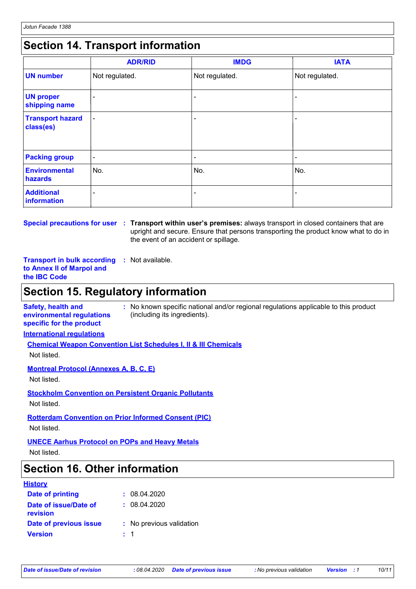## **Section 14. Transport information**

|                                      | <b>ADR/RID</b>           | <b>IMDG</b>              | <b>IATA</b>    |
|--------------------------------------|--------------------------|--------------------------|----------------|
| <b>UN number</b>                     | Not regulated.           | Not regulated.           | Not regulated. |
| <b>UN proper</b><br>shipping name    | -                        |                          |                |
| <b>Transport hazard</b><br>class(es) | $\overline{\phantom{a}}$ |                          |                |
| <b>Packing group</b>                 | $\blacksquare$           | $\overline{\phantom{a}}$ | ۰              |
| <b>Environmental</b><br>hazards      | No.                      | No.                      | No.            |
| <b>Additional</b><br>information     | ۰                        |                          | $\blacksquare$ |

**Special precautions for user Transport within user's premises:** always transport in closed containers that are **:** upright and secure. Ensure that persons transporting the product know what to do in the event of an accident or spillage.

**Transport in bulk according :** Not available. **to Annex II of Marpol and the IBC Code**

## **Section 15. Regulatory information**

**Safety, health and environmental regulations specific for the product :** No known specific national and/or regional regulations applicable to this product (including its ingredients).

**International regulations**

**Chemical Weapon Convention List Schedules I, II & III Chemicals**

Not listed.

**Montreal Protocol (Annexes A, B, C, E)**

Not listed.

**Stockholm Convention on Persistent Organic Pollutants** Not listed.

**Rotterdam Convention on Prior Informed Consent (PIC)**

Not listed.

**UNECE Aarhus Protocol on POPs and Heavy Metals**

Not listed.

## **Section 16. Other information**

### **History**

| Date of printing                  |         | : 08.04.2020             |
|-----------------------------------|---------|--------------------------|
| Date of issue/Date of<br>revision |         | : 08.04.2020             |
| Date of previous issue            |         | : No previous validation |
| <b>Version</b>                    | $\pm$ 1 |                          |